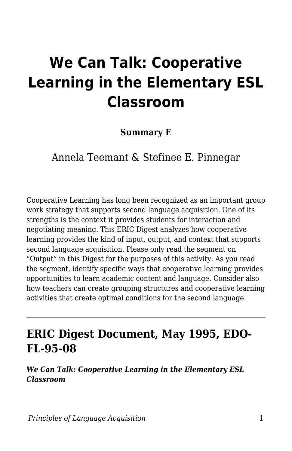# **We Can Talk: Cooperative Learning in the Elementary ESL Classroom**

**Summary E**

Annela Teemant & Stefinee E. Pinnegar

Cooperative Learning has long been recognized as an important group work strategy that supports second language acquisition. One of its strengths is the context it provides students for interaction and negotiating meaning. This ERIC Digest analyzes how cooperative learning provides the kind of input, output, and context that supports second language acquisition. Please only read the segment on "Output" in this Digest for the purposes of this activity. As you read the segment, identify specific ways that cooperative learning provides opportunities to learn academic content and language. Consider also how teachers can create grouping structures and cooperative learning activities that create optimal conditions for the second language.

### **ERIC Digest Document, May 1995, EDO-FL-95-08**

*We Can Talk: Cooperative Learning in the Elementary ESL Classroom*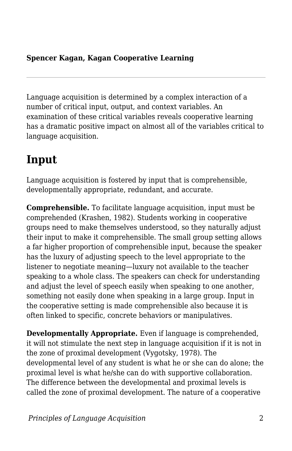#### **Spencer Kagan, Kagan Cooperative Learning**

Language acquisition is determined by a complex interaction of a number of critical input, output, and context variables. An examination of these critical variables reveals cooperative learning has a dramatic positive impact on almost all of the variables critical to language acquisition.

### **Input**

Language acquisition is fostered by input that is comprehensible, developmentally appropriate, redundant, and accurate.

**Comprehensible.** To facilitate language acquisition, input must be comprehended (Krashen, 1982). Students working in cooperative groups need to make themselves understood, so they naturally adjust their input to make it comprehensible. The small group setting allows a far higher proportion of comprehensible input, because the speaker has the luxury of adjusting speech to the level appropriate to the listener to negotiate meaning—luxury not available to the teacher speaking to a whole class. The speakers can check for understanding and adjust the level of speech easily when speaking to one another, something not easily done when speaking in a large group. Input in the cooperative setting is made comprehensible also because it is often linked to specific, concrete behaviors or manipulatives.

**Developmentally Appropriate.** Even if language is comprehended, it will not stimulate the next step in language acquisition if it is not in the zone of proximal development (Vygotsky, 1978). The developmental level of any student is what he or she can do alone; the proximal level is what he/she can do with supportive collaboration. The difference between the developmental and proximal levels is called the zone of proximal development. The nature of a cooperative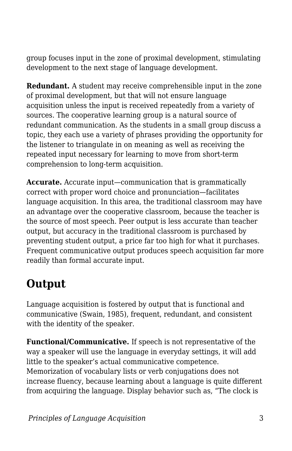group focuses input in the zone of proximal development, stimulating development to the next stage of language development.

**Redundant.** A student may receive comprehensible input in the zone of proximal development, but that will not ensure language acquisition unless the input is received repeatedly from a variety of sources. The cooperative learning group is a natural source of redundant communication. As the students in a small group discuss a topic, they each use a variety of phrases providing the opportunity for the listener to triangulate in on meaning as well as receiving the repeated input necessary for learning to move from short-term comprehension to long-term acquisition.

**Accurate.** Accurate input—communication that is grammatically correct with proper word choice and pronunciation—facilitates language acquisition. In this area, the traditional classroom may have an advantage over the cooperative classroom, because the teacher is the source of most speech. Peer output is less accurate than teacher output, but accuracy in the traditional classroom is purchased by preventing student output, a price far too high for what it purchases. Frequent communicative output produces speech acquisition far more readily than formal accurate input.

## **Output**

Language acquisition is fostered by output that is functional and communicative (Swain, 1985), frequent, redundant, and consistent with the identity of the speaker.

**Functional/Communicative.** If speech is not representative of the way a speaker will use the language in everyday settings, it will add little to the speaker's actual communicative competence. Memorization of vocabulary lists or verb conjugations does not increase fluency, because learning about a language is quite different from acquiring the language. Display behavior such as, "The clock is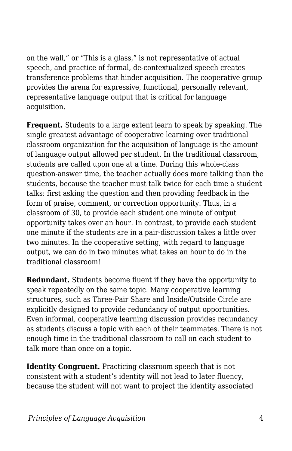on the wall," or "This is a glass," is not representative of actual speech, and practice of formal, de-contextualized speech creates transference problems that hinder acquisition. The cooperative group provides the arena for expressive, functional, personally relevant, representative language output that is critical for language acquisition.

**Frequent.** Students to a large extent learn to speak by speaking. The single greatest advantage of cooperative learning over traditional classroom organization for the acquisition of language is the amount of language output allowed per student. In the traditional classroom, students are called upon one at a time. During this whole-class question-answer time, the teacher actually does more talking than the students, because the teacher must talk twice for each time a student talks: first asking the question and then providing feedback in the form of praise, comment, or correction opportunity. Thus, in a classroom of 30, to provide each student one minute of output opportunity takes over an hour. In contrast, to provide each student one minute if the students are in a pair-discussion takes a little over two minutes. In the cooperative setting, with regard to language output, we can do in two minutes what takes an hour to do in the traditional classroom!

**Redundant.** Students become fluent if they have the opportunity to speak repeatedly on the same topic. Many cooperative learning structures, such as Three-Pair Share and Inside/Outside Circle are explicitly designed to provide redundancy of output opportunities. Even informal, cooperative learning discussion provides redundancy as students discuss a topic with each of their teammates. There is not enough time in the traditional classroom to call on each student to talk more than once on a topic.

**Identity Congruent.** Practicing classroom speech that is not consistent with a student's identity will not lead to later fluency, because the student will not want to project the identity associated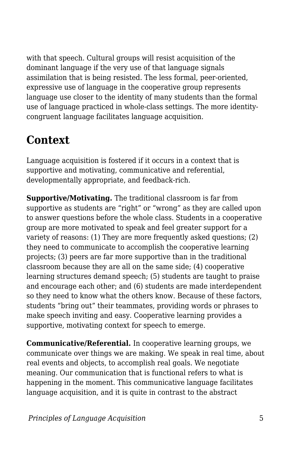with that speech. Cultural groups will resist acquisition of the dominant language if the very use of that language signals assimilation that is being resisted. The less formal, peer-oriented, expressive use of language in the cooperative group represents language use closer to the identity of many students than the formal use of language practiced in whole-class settings. The more identitycongruent language facilitates language acquisition.

### **Context**

Language acquisition is fostered if it occurs in a context that is supportive and motivating, communicative and referential, developmentally appropriate, and feedback-rich.

**Supportive/Motivating.** The traditional classroom is far from supportive as students are "right" or "wrong" as they are called upon to answer questions before the whole class. Students in a cooperative group are more motivated to speak and feel greater support for a variety of reasons: (1) They are more frequently asked questions; (2) they need to communicate to accomplish the cooperative learning projects; (3) peers are far more supportive than in the traditional classroom because they are all on the same side; (4) cooperative learning structures demand speech; (5) students are taught to praise and encourage each other; and (6) students are made interdependent so they need to know what the others know. Because of these factors, students "bring out" their teammates, providing words or phrases to make speech inviting and easy. Cooperative learning provides a supportive, motivating context for speech to emerge.

**Communicative/Referential.** In cooperative learning groups, we communicate over things we are making. We speak in real time, about real events and objects, to accomplish real goals. We negotiate meaning. Our communication that is functional refers to what is happening in the moment. This communicative language facilitates language acquisition, and it is quite in contrast to the abstract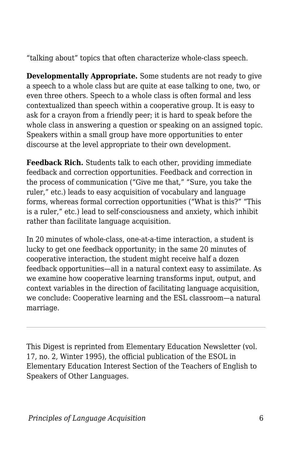"talking about" topics that often characterize whole-class speech.

**Developmentally Appropriate.** Some students are not ready to give a speech to a whole class but are quite at ease talking to one, two, or even three others. Speech to a whole class is often formal and less contextualized than speech within a cooperative group. It is easy to ask for a crayon from a friendly peer; it is hard to speak before the whole class in answering a question or speaking on an assigned topic. Speakers within a small group have more opportunities to enter discourse at the level appropriate to their own development.

**Feedback Rich.** Students talk to each other, providing immediate feedback and correction opportunities. Feedback and correction in the process of communication ("Give me that," "Sure, you take the ruler," etc.) leads to easy acquisition of vocabulary and language forms, whereas formal correction opportunities ("What is this?" "This is a ruler," etc.) lead to self-consciousness and anxiety, which inhibit rather than facilitate language acquisition.

In 20 minutes of whole-class, one-at-a-time interaction, a student is lucky to get one feedback opportunity; in the same 20 minutes of cooperative interaction, the student might receive half a dozen feedback opportunities—all in a natural context easy to assimilate. As we examine how cooperative learning transforms input, output, and context variables in the direction of facilitating language acquisition, we conclude: Cooperative learning and the ESL classroom—a natural marriage.

This Digest is reprinted from Elementary Education Newsletter (vol. 17, no. 2, Winter 1995), the official publication of the ESOL in Elementary Education Interest Section of the Teachers of English to Speakers of Other Languages.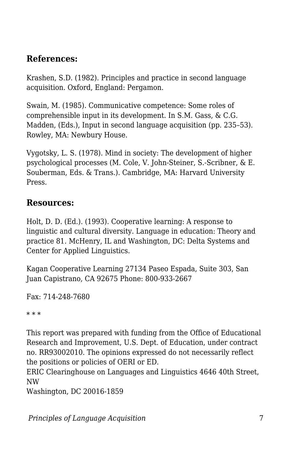### **References:**

Krashen, S.D. (1982). Principles and practice in second language acquisition. Oxford, England: Pergamon.

Swain, M. (1985). Communicative competence: Some roles of comprehensible input in its development. In S.M. Gass, & C.G. Madden, (Eds.), Input in second language acquisition (pp. 235–53). Rowley, MA: Newbury House.

Vygotsky, L. S. (1978). Mind in society: The development of higher psychological processes (M. Cole, V. John-Steiner, S.-Scribner, & E. Souberman, Eds. & Trans.). Cambridge, MA: Harvard University Press.

#### **Resources:**

Holt, D. D. (Ed.). (1993). Cooperative learning: A response to linguistic and cultural diversity. Language in education: Theory and practice 81. McHenry, IL and Washington, DC: Delta Systems and Center for Applied Linguistics.

Kagan Cooperative Learning 27134 Paseo Espada, Suite 303, San Juan Capistrano, CA 92675 Phone: 800-933-2667

Fax: 714-248-7680

\* \* \*

This report was prepared with funding from the Office of Educational Research and Improvement, U.S. Dept. of Education, under contract no. RR93002010. The opinions expressed do not necessarily reflect the positions or policies of OERI or ED.

ERIC Clearinghouse on Languages and Linguistics 4646 40th Street, NW

Washington, DC 20016-1859

*Principles of Language Acquisition* 7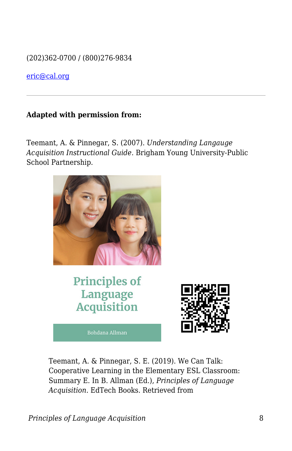(202)362-0700 / (800)276-9834

[eric@cal.org](mailto:eric@cal.org)

#### **Adapted with permission from:**

Teemant, A. & Pinnegar, S. (2007). *Understanding Langauge Acquisition Instructional Guide.* Brigham Young University-Public School Partnership.



Teemant, A. & Pinnegar, S. E. (2019). We Can Talk: Cooperative Learning in the Elementary ESL Classroom: Summary E. In B. Allman (Ed.), *Principles of Language Acquisition*. EdTech Books. Retrieved from

*Principles of Language Acquisition* 8